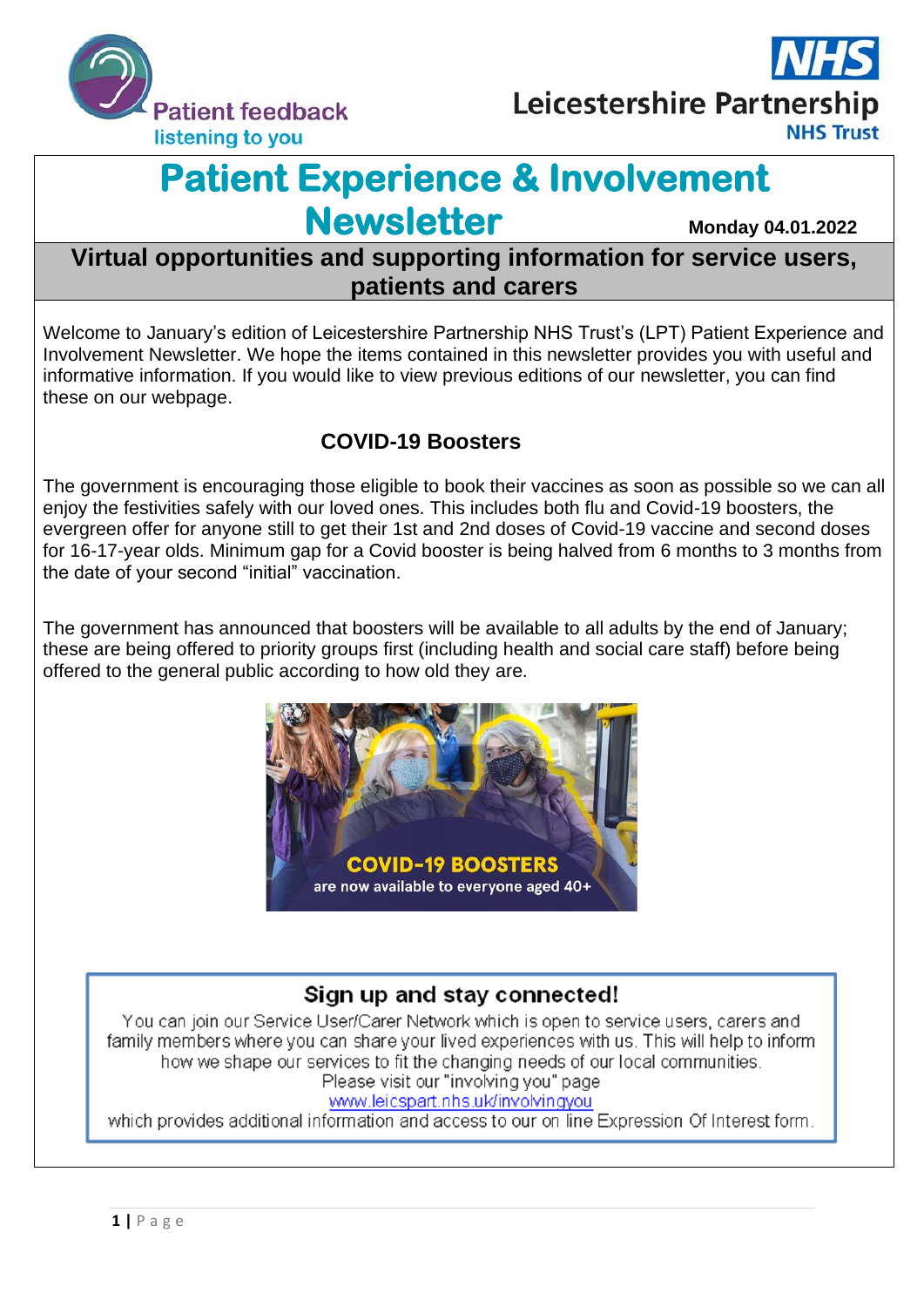



# **Patient Experience & Involvement Newsletter Monday 04.01.2022**

# **Virtual opportunities and supporting information for service users, patients and carers**

Welcome to January's edition of Leicestershire Partnership NHS Trust's (LPT) Patient Experience and Involvement Newsletter. We hope the items contained in this newsletter provides you with useful and informative information. If you would like to view previous editions of our newsletter, you can find these on our webpage.

### **COVID-19 Boosters**

The government is encouraging those eligible to book their vaccines as soon as possible so we can all enjoy the festivities safely with our loved ones. This includes both flu and Covid-19 boosters, the evergreen offer for anyone still to get their 1st and 2nd doses of Covid-19 vaccine and second doses for 16-17-year olds. Minimum gap for a Covid booster is being halved from 6 months to 3 months from the date of your second "initial" vaccination.

The government has announced that boosters will be available to all adults by the end of January; these are being offered to priority groups first (including health and social care staff) before being offered to the general public according to how old they are.



#### Sign up and stay connected!

You can join our Service User/Carer Network which is open to service users, carers and family members where you can share your lived experiences with us. This will help to inform how we shape our services to fit the changing needs of our local communities. Please visit our "involving you" page www.leicspart.nhs.uk/involvingyou

which provides additional information and access to our on line Expression Of Interest form.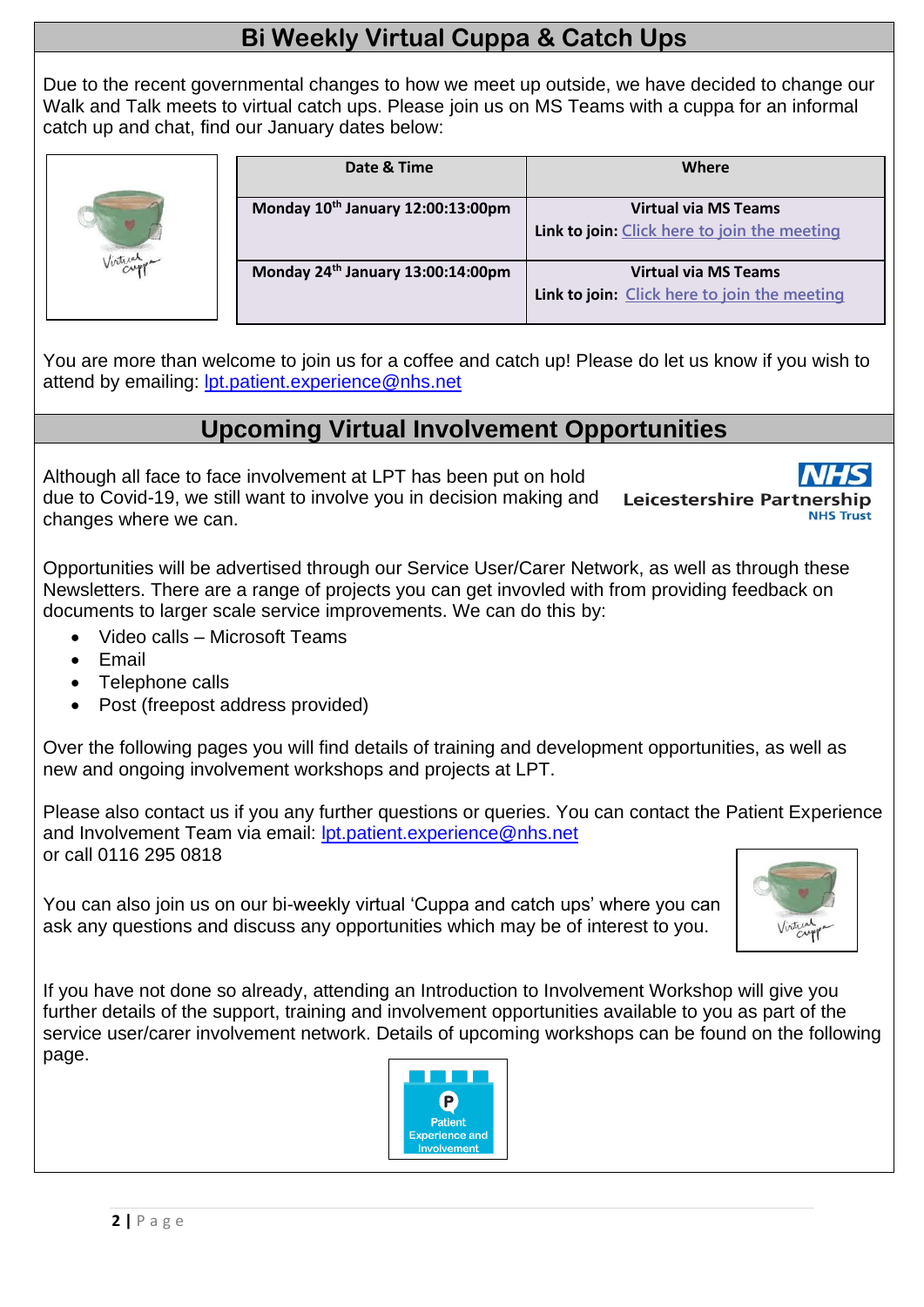# **Bi Weekly Virtual Cuppa & Catch Ups**

Due to the recent governmental changes to how we meet up outside, we have decided to change our Walk and Talk meets to virtual catch ups. Please join us on MS Teams with a cuppa for an informal catch up and chat, find our January dates below:



| Date & Time                                   | Where                                        |
|-----------------------------------------------|----------------------------------------------|
| Monday 10th January 12:00:13:00pm             | <b>Virtual via MS Teams</b>                  |
|                                               | Link to join: Click here to join the meeting |
| Monday 24 <sup>th</sup> January 13:00:14:00pm | <b>Virtual via MS Teams</b>                  |
|                                               | Link to join: Click here to join the meeting |

You are more than welcome to join us for a coffee and catch up! Please do let us know if you wish to attend by emailing: [lpt.patient.experience@nhs.net](mailto:lpt.patient.experience@nhs.net)

# **Upcoming Virtual Involvement Opportunities**

Although all face to face involvement at LPT has been put on hold due to Covid-19, we still want to involve you in decision making and changes where we can.

**Leicestershire Partner** 

Opportunities will be advertised through our Service User/Carer Network, as well as through these Newsletters. There are a range of projects you can get invovled with from providing feedback on documents to larger scale service improvements. We can do this by:

- Video calls Microsoft Teams
- Email
- Telephone calls
- Post (freepost address provided)

Over the following pages you will find details of training and development opportunities, as well as new and ongoing involvement workshops and projects at LPT.

Please also contact us if you any further questions or queries. You can contact the Patient Experience and Involvement Team via email: [lpt.patient.experience@nhs.net](mailto:lpt.patient.experience@nhs.net) or call 0116 295 0818

You can also join us on our bi-weekly virtual 'Cuppa and catch ups' where you can ask any questions and discuss any opportunities which may be of interest to you.



If you have not done so already, attending an Introduction to Involvement Workshop will give you further details of the support, training and involvement opportunities available to you as part of the service user/carer involvement network. Details of upcoming workshops can be found on the following page.

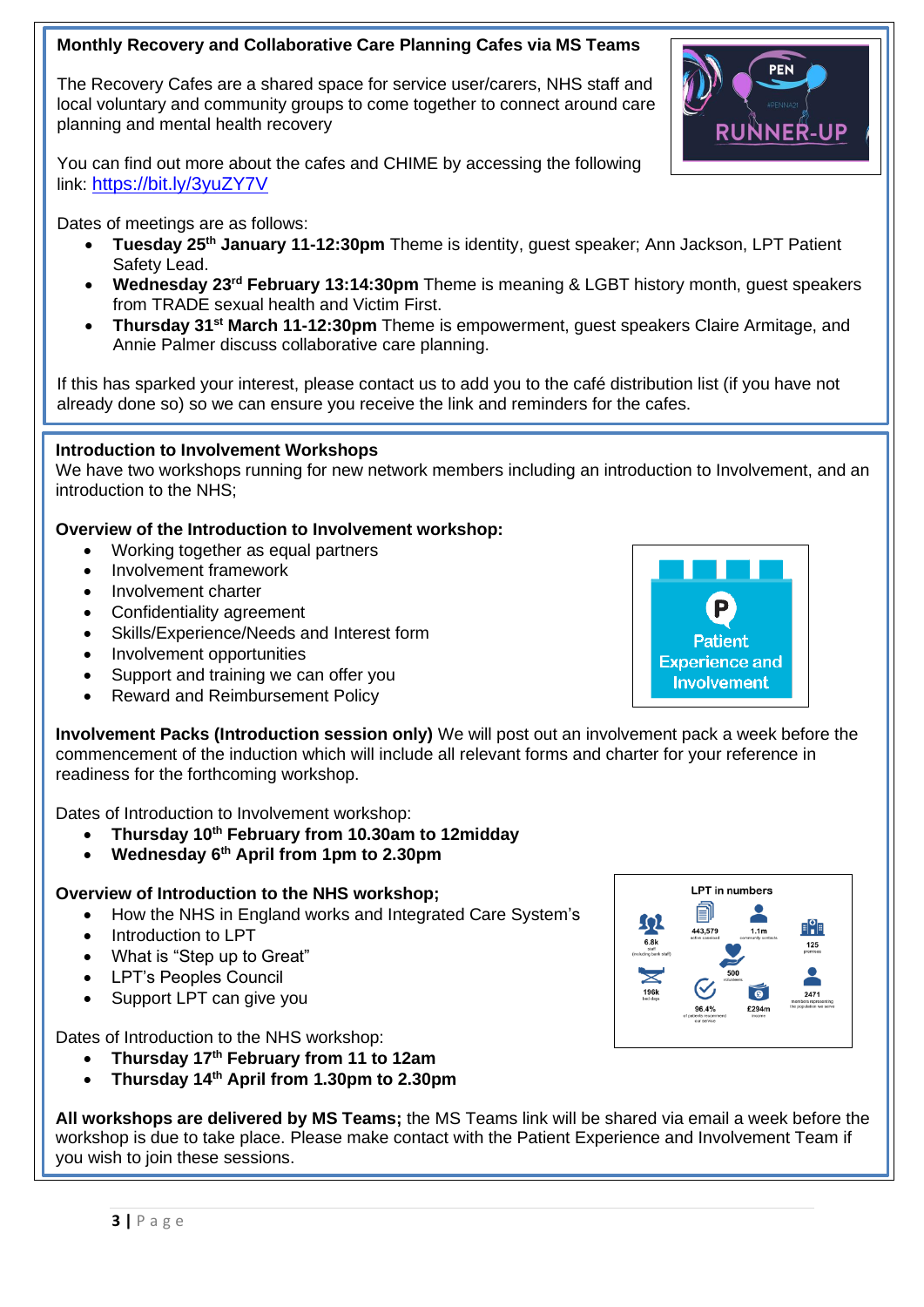#### **Monthly Recovery and Collaborative Care Planning Cafes via MS Teams**

The Recovery Cafes are a shared space for service user/carers, NHS staff and local voluntary and community groups to come together to connect around care planning and mental health recovery



You can find out more about the cafes and CHIME by accessing the following link: <https://bit.ly/3yuZY7V>

Dates of meetings are as follows:

- **Tuesday 25th January 11-12:30pm** Theme is identity, guest speaker; Ann Jackson, LPT Patient Safety Lead.
- **Wednesday 23rd February 13:14:30pm** Theme is meaning & LGBT history month, guest speakers from TRADE sexual health and Victim First.
- **Thursday 31st March 11-12:30pm** Theme is empowerment, guest speakers Claire Armitage, and Annie Palmer discuss collaborative care planning.

If this has sparked your interest, please contact us to add you to the café distribution list (if you have not already done so) so we can ensure you receive the link and reminders for the cafes.

#### **Introduction to Involvement Workshops**  $\blacksquare$

..... Justicut in the merroment trement portant to see including an introduction to Involvement, and an intert introduction to the NHS;

#### **Overview of the Introduction to Involvement workshop:**

- Working together as equal partners
- Involvement framework
- Involvement charter
- Confidentiality agreement
- Skills/Experience/Needs and Interest form
- Involvement opportunities
- Support and training we can offer you
- Reward and Reimbursement Policy

**Involvement Packs (Introduction session only)** We will post out an involvement pack a week before the commencement of the induction which will include all relevant forms and charter for your reference in readiness for the forthcoming workshop.

Dates of Introduction to Involvement workshop:

- **Thursday 10th February from 10.30am to 12midday**
- **Wednesday 6th April from 1pm to 2.30pm**

#### **Overview of Introduction to the NHS workshop;**

- How the NHS in England works and Integrated Care System's
- Introduction to LPT
- What is "Step up to Great"
- LPT's Peoples Council
- Support LPT can give you

#### Dates of Introduction to the NHS workshop:

- **Thursday 17th February from 11 to 12am**
- **Thursday 14th April from 1.30pm to 2.30pm**

**All workshops are delivered by MS Teams;** the MS Teams link will be shared via email a week before the workshop is due to take place. Please make contact with the Patient Experience and Involvement Team if you wish to join these sessions.



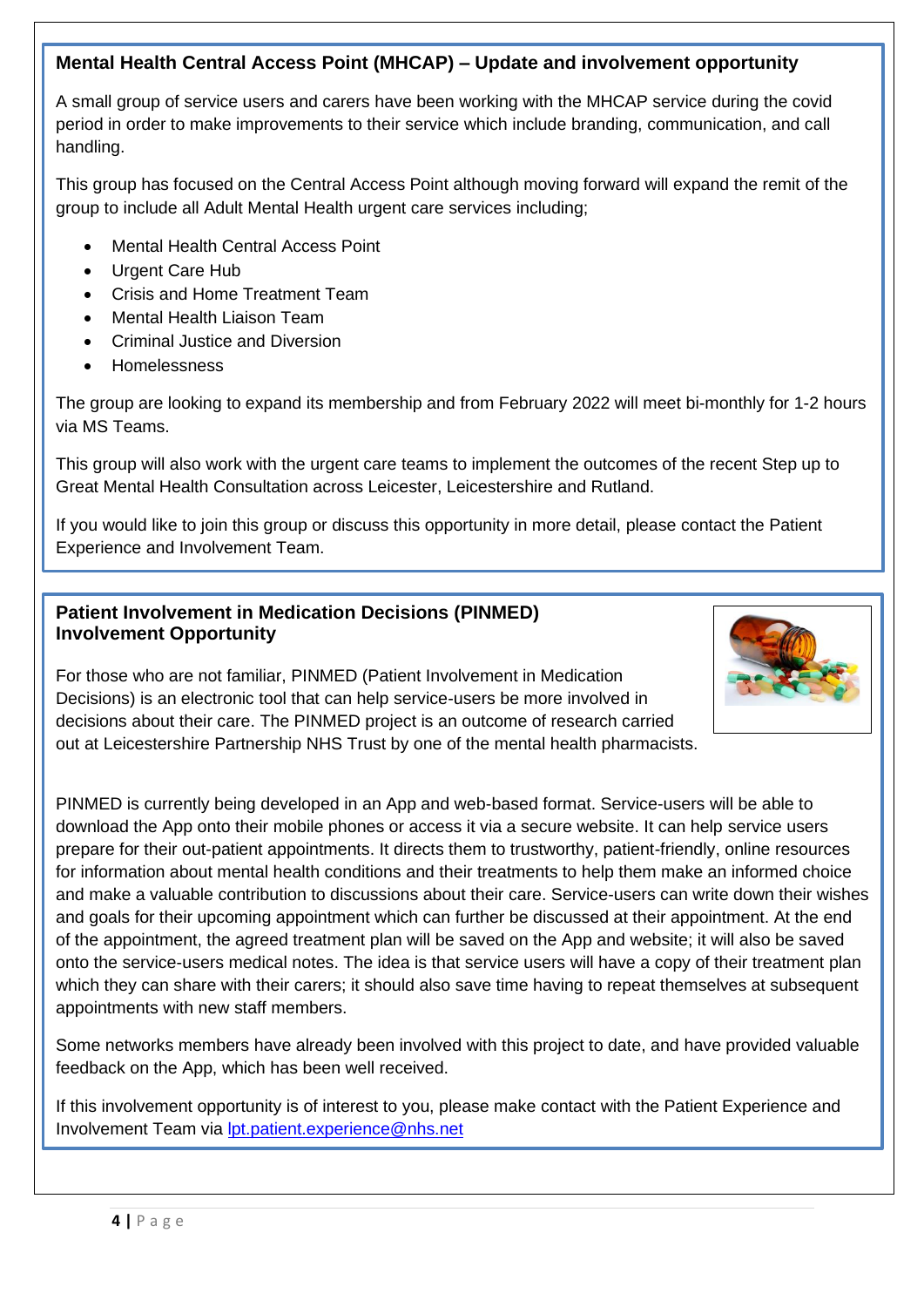#### **Mental Health Central Access Point (MHCAP) – Update and involvement opportunity**

A small group of service users and carers have been working with the MHCAP service during the covid period in order to make improvements to their service which include branding, communication, and call handling.

This group has focused on the Central Access Point although moving forward will expand the remit of the group to include all Adult Mental Health urgent care services including;

- Mental Health Central Access Point
- Urgent Care Hub
- Crisis and Home Treatment Team
- Mental Health Liaison Team
- Criminal Justice and Diversion
- Homelessness

The group are looking to expand its membership and from February 2022 will meet bi-monthly for 1-2 hours via MS Teams.

This group will also work with the urgent care teams to implement the outcomes of the recent Step up to Great Mental Health Consultation across Leicester, Leicestershire and Rutland.

If you would like to join this group or discuss this opportunity in more detail, please contact the Patient Experience and Involvement Team.

#### **Patient Involvement in Medication Decisions (PINMED) Involvement Opportunity**

For those who are not familiar, PINMED (Patient Involvement in Medication Decisions) is an electronic tool that can help service-users be more involved in decisions about their care. The PINMED project is an outcome of research carried out at Leicestershire Partnership NHS Trust by one of the mental health pharmacists.



PINMED is currently being developed in an App and web-based format. Service-users will be able to download the App onto their mobile phones or access it via a secure website. It can help service users prepare for their out-patient appointments. It directs them to trustworthy, patient-friendly, online resources for information about mental health conditions and their treatments to help them make an informed choice and make a valuable contribution to discussions about their care. Service-users can write down their wishes and goals for their upcoming appointment which can further be discussed at their appointment. At the end of the appointment, the agreed treatment plan will be saved on the App and website; it will also be saved onto the service-users medical notes. The idea is that service users will have a copy of their treatment plan which they can share with their carers; it should also save time having to repeat themselves at subsequent appointments with new staff members.

Some networks members have already been involved with this project to date, and have provided valuable feedback on the App, which has been well received.

If this involvement opportunity is of interest to you, please make contact with the Patient Experience and Involvement Team via [lpt.patient.experience@nhs.net](mailto:lpt.patient.experience@nhs.net)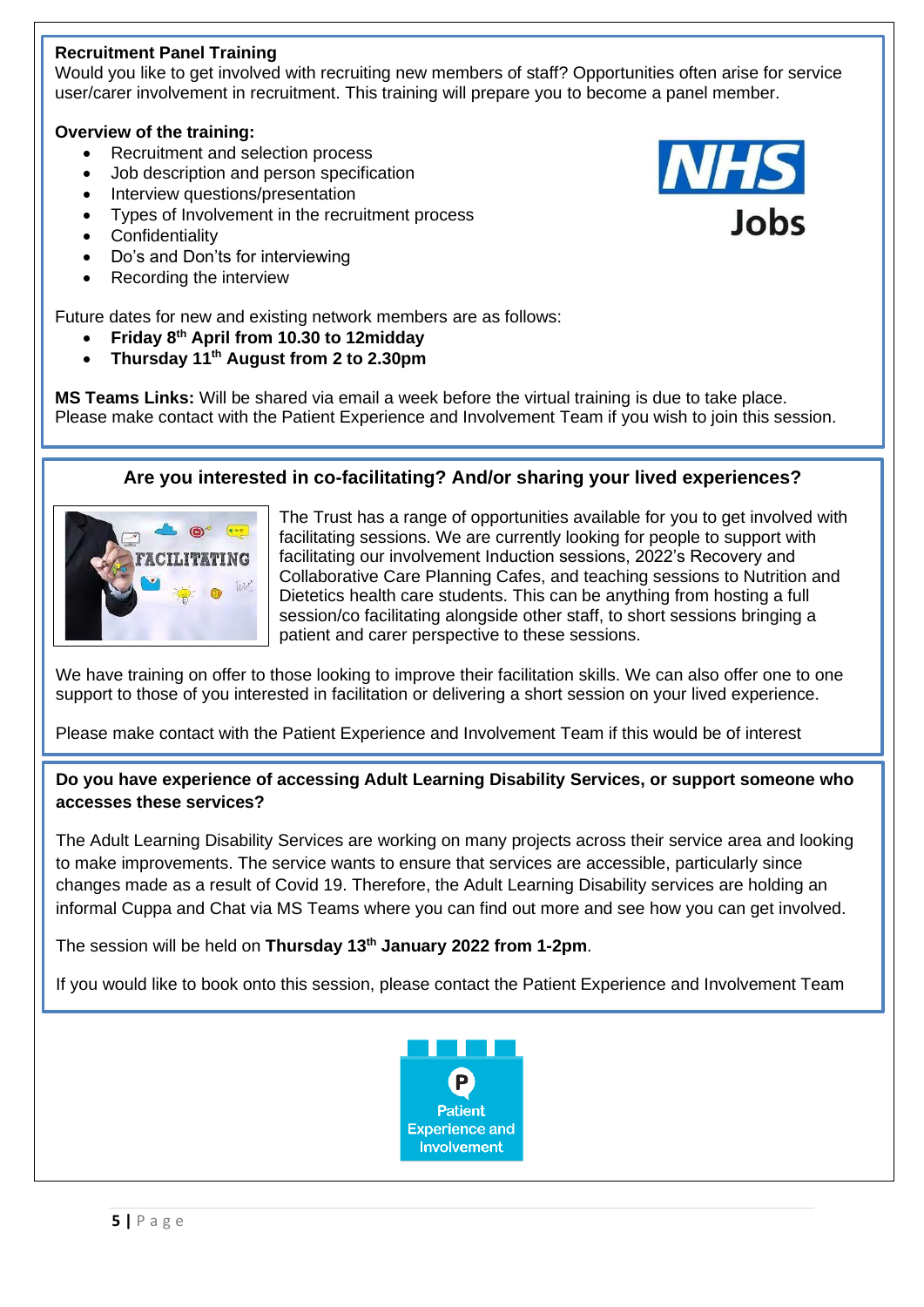#### **Recruitment Panel Training**

Would you like to get involved with recruiting new members of staff? Opportunities often arise for service user/carer involvement in recruitment. This training will prepare you to become a panel member.

#### **Overview of the training:**

- Recruitment and selection process
- Job description and person specification
- Interview questions/presentation
- Types of Involvement in the recruitment process
- **Confidentiality**
- Do's and Don'ts for interviewing
- Recording the interview

Future dates for new and existing network members are as follows:

- **Friday 8th April from 10.30 to 12midday**
- **Thursday 11th August from 2 to 2.30pm**

**MS Teams Links:** Will be shared via email a week before the virtual training is due to take place. Please make contact with the Patient Experience and Involvement Team if you wish to join this session.

#### **Are you interested in co-facilitating? And/or sharing your lived experiences?**



The Trust has a range of opportunities available for you to get involved with facilitating sessions. We are currently looking for people to support with facilitating our involvement Induction sessions, 2022's Recovery and Collaborative Care Planning Cafes, and teaching sessions to Nutrition and Dietetics health care students. This can be anything from hosting a full session/co facilitating alongside other staff, to short sessions bringing a patient and carer perspective to these sessions.

We have training on offer to those looking to improve their facilitation skills. We can also offer one to one support to those of you interested in facilitation or delivering a short session on your lived experience.

Please make contact with the Patient Experience and Involvement Team if this would be of interest

**Do you have experience of accessing Adult Learning Disability Services, or support someone who accesses these services?**

The Adult Learning Disability Services are working on many projects across their service area and looking to make improvements. The service wants to ensure that services are accessible, particularly since changes made as a result of Covid 19. Therefore, the Adult Learning Disability services are holding an informal Cuppa and Chat via MS Teams where you can find out more and see how you can get involved.

The session will be held on **Thursday 13th January 2022 from 1-2pm**.

If you would like to book onto this session, please contact the Patient Experience and Involvement Team

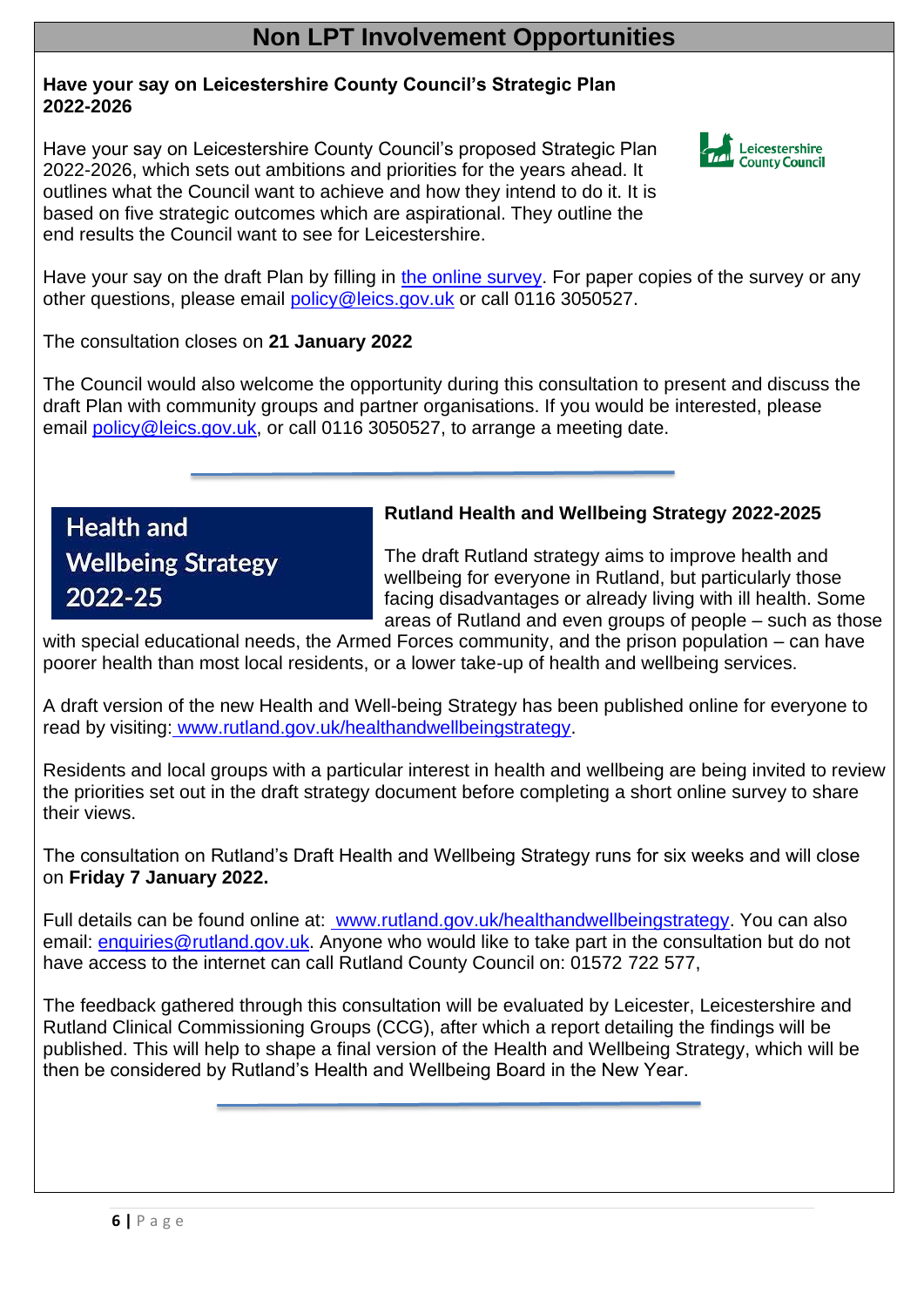## **Non LPT Involvement Opportunities**

#### **Have your say on Leicestershire County Council's Strategic Plan 2022-2026**

Have your say on Leicestershire County Council's proposed Strategic Plan 2022-2026, which sets out ambitions and priorities for the years ahead. It outlines what the Council want to achieve and how they intend to do it. It is based on five strategic outcomes which are aspirational. They outline the end results the Council want to see for Leicestershire.



Have your say on the draft Plan by filling in [the online survey.](https://surveys.leics.gov.uk/snapwebhost/s.asp?k=163489019607) For paper copies of the survey or any other questions, please email [policy@leics.gov.uk](mailto:policy@leics.gov.uk) or call 0116 3050527.

The consultation closes on **21 January 2022**

The Council would also welcome the opportunity during this consultation to present and discuss the draft Plan with community groups and partner organisations. If you would be interested, please email [policy@leics.gov.uk,](mailto:policy@leics.gov.uk) or call 0116 3050527, to arrange a meeting date.

**Health and Wellbeing Strategy** 2022-25

#### **Rutland Health and Wellbeing Strategy 2022-2025**

The draft Rutland strategy aims to improve health and wellbeing for everyone in Rutland, but particularly those facing disadvantages or already living with ill health. Some areas of Rutland and even groups of people – such as those

with special educational needs, the Armed Forces community, and the prison population – can have poorer health than most local residents, or a lower take-up of health and wellbeing services.

A draft version of the new Health and Well-being Strategy has been published online for everyone to read by visiting: [www.rutland.gov.uk/healthandwellbeingstrategy.](https://www.rutland.gov.uk/healthandwellbeingstrategy)

Residents and local groups with a particular interest in health and wellbeing are being invited to review the priorities set out in the draft strategy document before completing a short online survey to share their views.

The consultation on Rutland's Draft Health and Wellbeing Strategy runs for six weeks and will close on **Friday 7 January 2022.**

Full details can be found online at: [www.rutland.gov.uk/healthandwellbeingstrategy.](https://www.rutland.gov.uk/healthandwellbeingstrategy) You can also email: [enquiries@rutland.gov.uk.](mailto:enquiries@rutland.gov.uk) Anyone who would like to take part in the consultation but do not have access to the internet can call Rutland County Council on: 01572 722 577,

The feedback gathered through this consultation will be evaluated by Leicester, Leicestershire and Rutland Clinical Commissioning Groups (CCG), after which a report detailing the findings will be published. This will help to shape a final version of the Health and Wellbeing Strategy, which will be then be considered by Rutland's Health and Wellbeing Board in the New Year.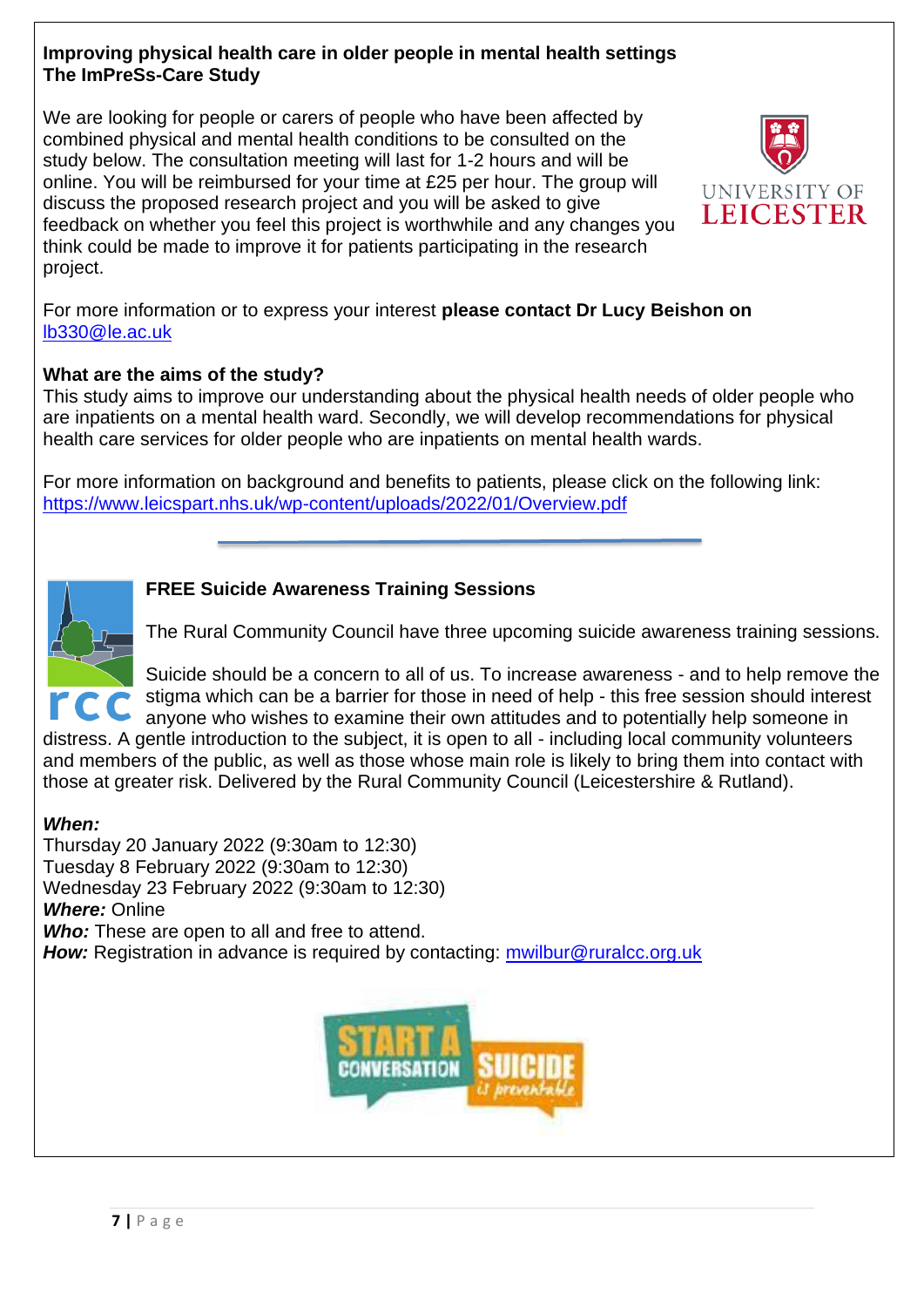#### **Improving physical health care in older people in mental health settings The ImPreSs-Care Study**

We are looking for people or carers of people who have been affected by combined physical and mental health conditions to be consulted on the study below. The consultation meeting will last for 1-2 hours and will be online. You will be reimbursed for your time at £25 per hour. The group will discuss the proposed research project and you will be asked to give feedback on whether you feel this project is worthwhile and any changes you think could be made to improve it for patients participating in the research project.



For more information or to express your interest **please contact Dr Lucy Beishon on**  [lb330@le.ac.uk](mailto:lb330@le.ac.uk)

#### **What are the aims of the study?**

This study aims to improve our understanding about the physical health needs of older people who are inpatients on a mental health ward. Secondly, we will develop recommendations for physical health care services for older people who are inpatients on mental health wards.

For more information on background and benefits to patients, please click on the following link: <https://www.leicspart.nhs.uk/wp-content/uploads/2022/01/Overview.pdf>

#### **FREE Suicide Awareness Training Sessions**



The Rural Community Council have three upcoming suicide awareness training sessions.

Suicide should be a concern to all of us. To increase awareness - and to help remove the stigma which can be a barrier for those in need of help - this free session should interest anyone who wishes to examine their own attitudes and to potentially help someone in

distress. A gentle introduction to the subject, it is open to all - including local community volunteers and members of the public, as well as those whose main role is likely to bring them into contact with those at greater risk. Delivered by the Rural Community Council (Leicestershire & Rutland).

#### *When:*

Thursday 20 January 2022 (9:30am to 12:30) Tuesday 8 February 2022 (9:30am to 12:30) Wednesday 23 February 2022 (9:30am to 12:30) *Where:* Online *Who:* These are open to all and free to attend. **How:** Registration in advance is required by contacting: **mwilbur@ruralcc.org.uk** 

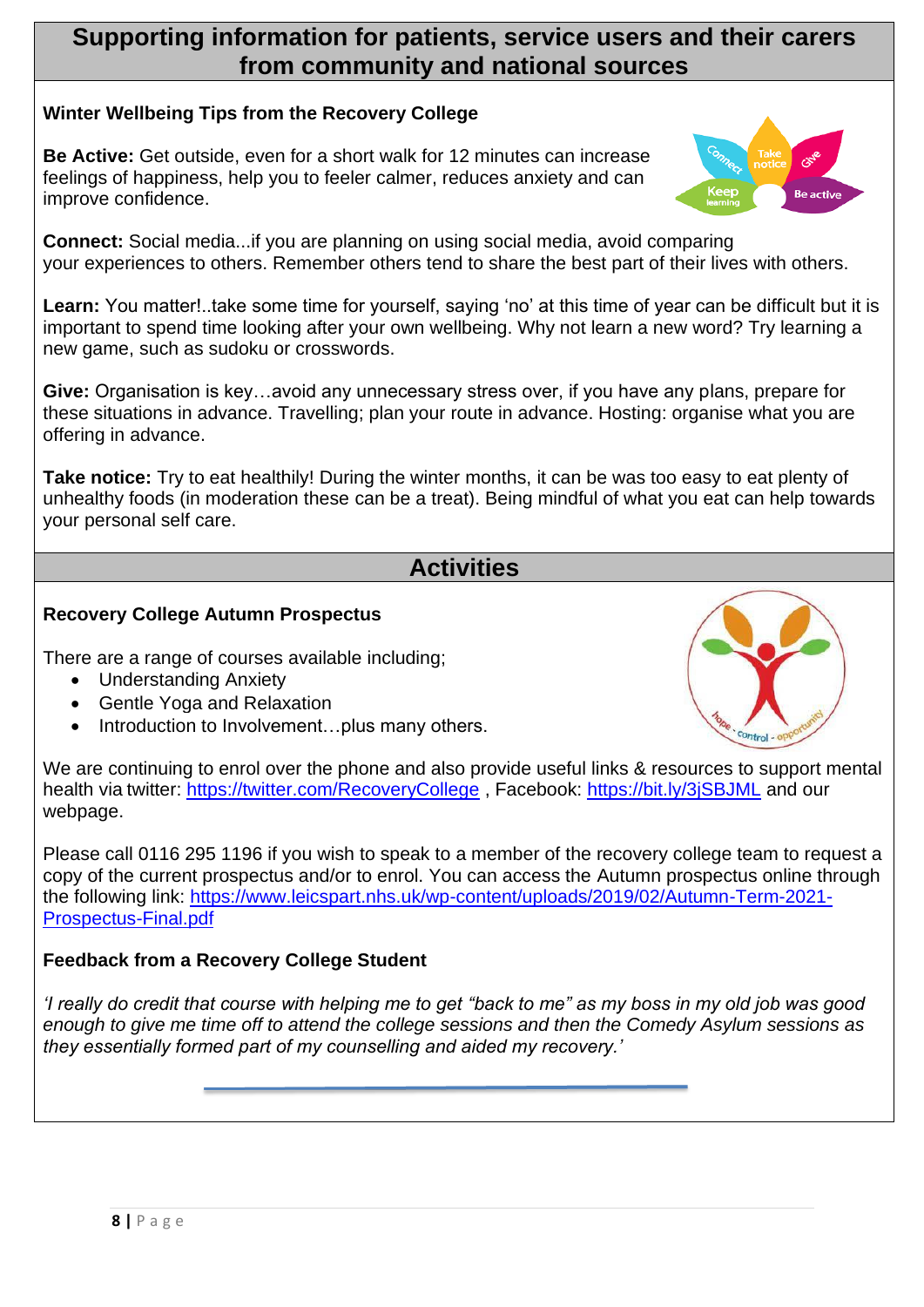### **Supporting information for patients, service users and their carers from community and national sources**

#### **Winter Wellbeing Tips from the Recovery College**

**Be Active:** Get outside, even for a short walk for 12 minutes can increase feelings of happiness, help you to feeler calmer, reduces anxiety and can improve confidence.

**Connect:** Social media...if you are planning on using social media, avoid comparing your experiences to others. Remember others tend to share the best part of their lives with others.

Learn: You matter!..take some time for yourself, saying 'no' at this time of year can be difficult but it is important to spend time looking after your own wellbeing. Why not learn a new word? Try learning a new game, such as sudoku or crosswords.

**Give:** Organisation is key…avoid any unnecessary stress over, if you have any plans, prepare for these situations in advance. Travelling; plan your route in advance. Hosting: organise what you are offering in advance.

**Take notice:** Try to eat healthily! During the winter months, it can be was too easy to eat plenty of unhealthy foods (in moderation these can be a treat). Being mindful of what you eat can help towards your personal self care.

# **Activities**

#### **Recovery College Autumn Prospectus**

There are a range of courses available including;

- Understanding Anxiety
- Gentle Yoga and Relaxation
- Introduction to Involvement...plus many others.



We are continuing to enrol over the phone and also provide useful links & resources to support mental health via twitter:<https://twitter.com/RecoveryCollege> , Facebook:<https://bit.ly/3jSBJML> and our webpage.

Please call 0116 295 1196 if you wish to speak to a member of the recovery college team to request a copy of the current prospectus and/or to enrol. You can access the Autumn prospectus online through the following link: [https://www.leicspart.nhs.uk/wp-content/uploads/2019/02/Autumn-Term-2021-](https://www.leicspart.nhs.uk/wp-content/uploads/2019/02/Autumn-Term-2021-Prospectus-Final.pdf) [Prospectus-Final.pdf](https://www.leicspart.nhs.uk/wp-content/uploads/2019/02/Autumn-Term-2021-Prospectus-Final.pdf)

#### **Feedback from a Recovery College Student**

*'I really do credit that course with helping me to get "back to me" as my boss in my old job was good enough to give me time off to attend the college sessions and then the Comedy Asylum sessions as they essentially formed part of my counselling and aided my recovery.'*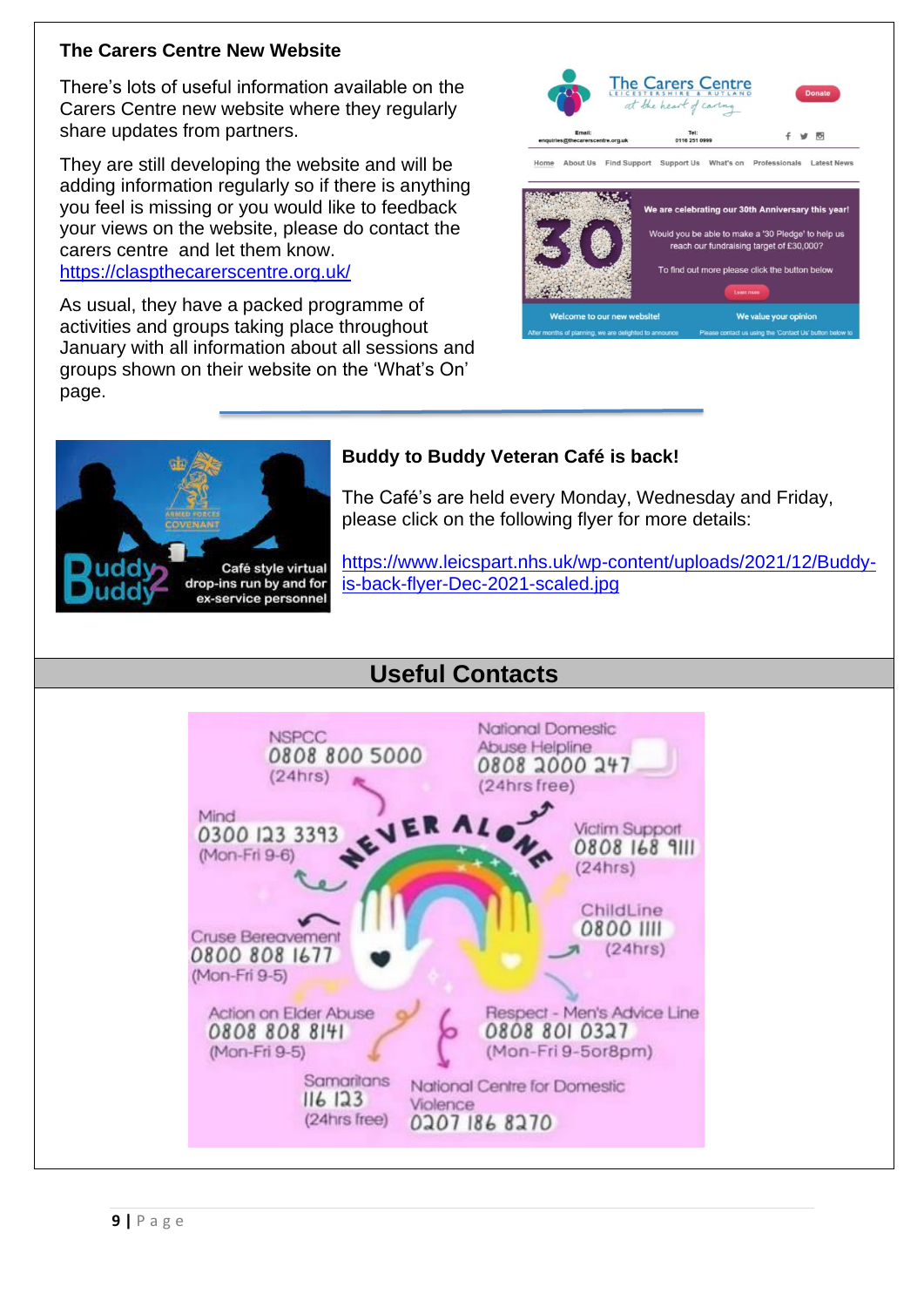#### **The Carers Centre New Website**

There's lots of useful information available on the Carers Centre new website where they regularly share updates from partners.

They are still developing the website and will be adding information regularly so if there is anything you feel is missing or you would like to feedback your views on the website, please do contact the carers centre and let them know.

<https://claspthecarerscentre.org.uk/>

As usual, they have a packed programme of activities and groups taking place throughout January with all information about all sessions and groups shown on their website on the 'What's On' page.





#### **Buddy to Buddy Veteran Café is back!**

The Café's are held every Monday, Wednesday and Friday, please click on the following flyer for more details:

[https://www.leicspart.nhs.uk/wp-content/uploads/2021/12/Buddy](https://www.leicspart.nhs.uk/wp-content/uploads/2021/12/Buddy-is-back-flyer-Dec-2021-scaled.jpg)[is-back-flyer-Dec-2021-scaled.jpg](https://www.leicspart.nhs.uk/wp-content/uploads/2021/12/Buddy-is-back-flyer-Dec-2021-scaled.jpg)



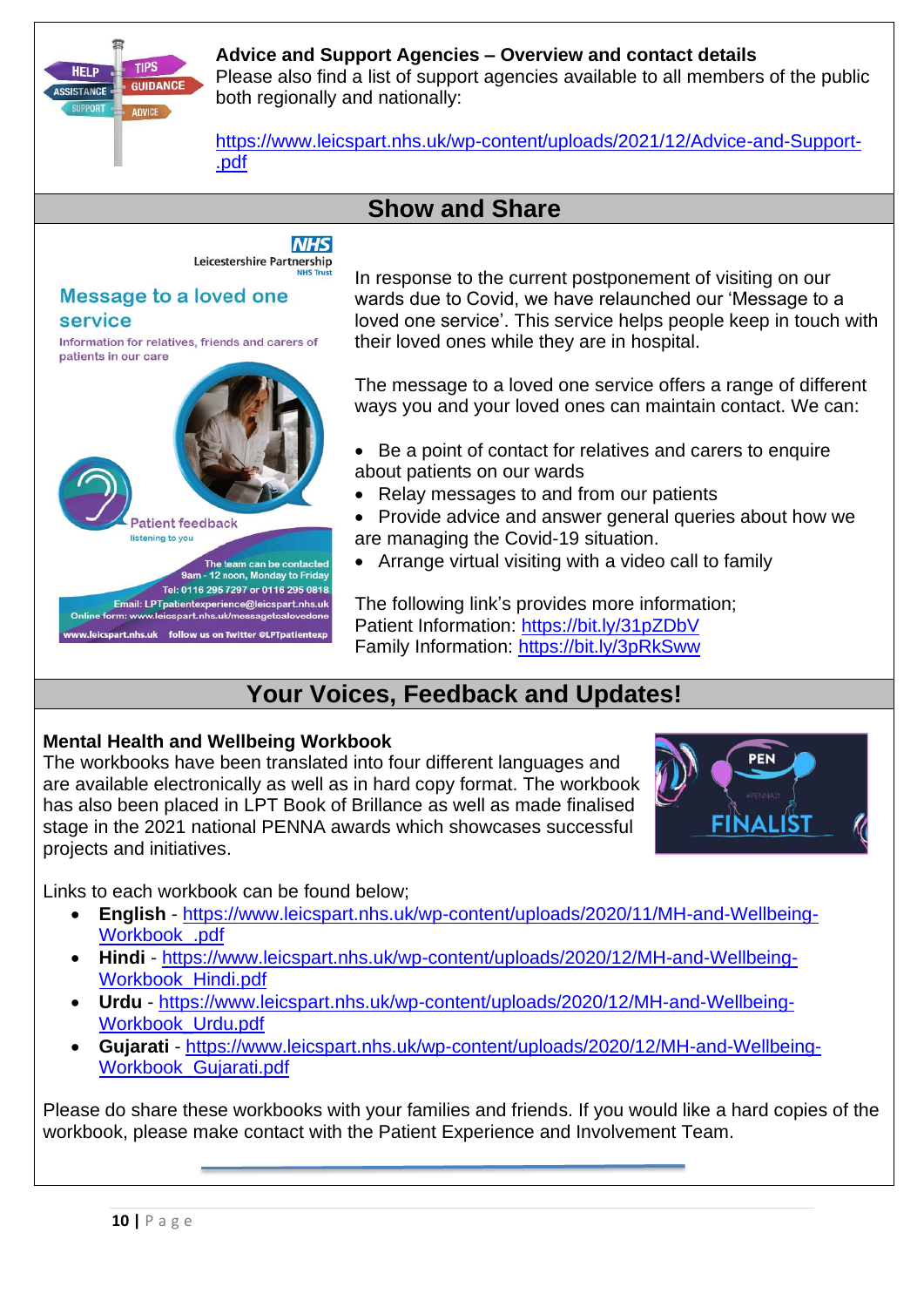

#### **Advice and Support Agencies – Overview and contact details**

Please also find a list of support agencies available to all members of the public both regionally and nationally:

[https://www.leicspart.nhs.uk/wp-content/uploads/2021/12/Advice-and-Support-](https://www.leicspart.nhs.uk/wp-content/uploads/2021/12/Advice-and-Support-.pdf) [.pdf](https://www.leicspart.nhs.uk/wp-content/uploads/2021/12/Advice-and-Support-.pdf)

## **Show and Share**

**NHS** Leicestershire Partnership

#### **Message to a loved one** service

Information for relatives, friends and carers of patients in our care



In response to the current postponement of visiting on our wards due to Covid, we have relaunched our 'Message to a loved one service'. This service helps people keep in touch with their loved ones while they are in hospital.

The message to a loved one service offers a range of different ways you and your loved ones can maintain contact. We can:

- Be a point of contact for relatives and carers to enquire about patients on our wards
- Relay messages to and from our patients
- Provide advice and answer general queries about how we are managing the Covid-19 situation.
- Arrange virtual visiting with a video call to family

The following link's provides more information; Patient Information: <https://bit.ly/31pZDbV> Family Information:<https://bit.ly/3pRkSww>

# **Your Voices, Feedback and Updates!**

#### **Mental Health and Wellbeing Workbook**

The workbooks have been translated into four different languages and are available electronically as well as in hard copy format. The workbook has also been placed in LPT Book of Brillance as well as made finalised stage in the 2021 national PENNA awards which showcases successful projects and initiatives.



Links to each workbook can be found below;

- **English** [https://www.leicspart.nhs.uk/wp-content/uploads/2020/11/MH-and-Wellbeing-](https://www.leicspart.nhs.uk/wp-content/uploads/2020/11/MH-and-Wellbeing-Workbook_.pdf)[Workbook\\_.pdf](https://www.leicspart.nhs.uk/wp-content/uploads/2020/11/MH-and-Wellbeing-Workbook_.pdf)
- **Hindi** [https://www.leicspart.nhs.uk/wp-content/uploads/2020/12/MH-and-Wellbeing-](https://www.leicspart.nhs.uk/wp-content/uploads/2020/12/MH-and-Wellbeing-Workbook_Hindi.pdf)Workbook Hindi.pdf
- **Urdu** [https://www.leicspart.nhs.uk/wp-content/uploads/2020/12/MH-and-Wellbeing-](https://www.leicspart.nhs.uk/wp-content/uploads/2020/12/MH-and-Wellbeing-Workbook_Urdu.pdf)[Workbook\\_Urdu.pdf](https://www.leicspart.nhs.uk/wp-content/uploads/2020/12/MH-and-Wellbeing-Workbook_Urdu.pdf)
- **Gujarati** [https://www.leicspart.nhs.uk/wp-content/uploads/2020/12/MH-and-Wellbeing-](https://www.leicspart.nhs.uk/wp-content/uploads/2020/12/MH-and-Wellbeing-Workbook_Gujarati.pdf)[Workbook\\_Gujarati.pdf](https://www.leicspart.nhs.uk/wp-content/uploads/2020/12/MH-and-Wellbeing-Workbook_Gujarati.pdf)

Please do share these workbooks with your families and friends. If you would like a hard copies of the workbook, please make contact with the Patient Experience and Involvement Team.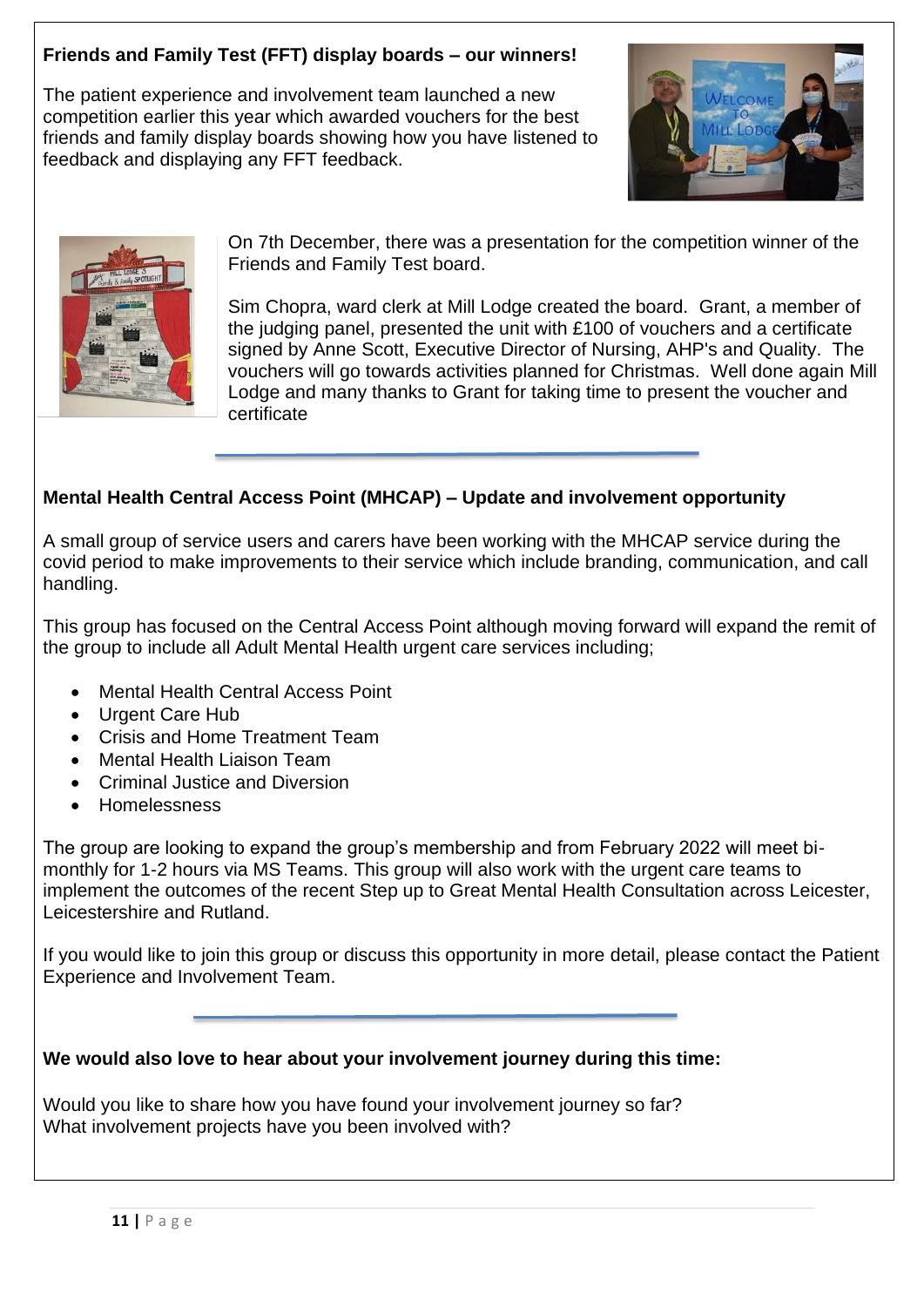#### **Friends and Family Test (FFT) display boards – our winners!**

The patient experience and involvement team launched a new competition earlier this year which awarded vouchers for the best friends and family display boards showing how you have listened to feedback and displaying any FFT feedback.





On 7th December, there was a presentation for the competition winner of the Friends and Family Test board.

Sim Chopra, ward clerk at Mill Lodge created the board. Grant, a member of the judging panel, presented the unit with £100 of vouchers and a certificate signed by Anne Scott, Executive Director of Nursing, AHP's and Quality. The vouchers will go towards activities planned for Christmas. Well done again Mill Lodge and many thanks to Grant for taking time to present the voucher and certificate

#### **Mental Health Central Access Point (MHCAP) – Update and involvement opportunity**

A small group of service users and carers have been working with the MHCAP service during the covid period to make improvements to their service which include branding, communication, and call handling.

This group has focused on the Central Access Point although moving forward will expand the remit of the group to include all Adult Mental Health urgent care services including;

- Mental Health Central Access Point
- Urgent Care Hub
- Crisis and Home Treatment Team
- Mental Health Liaison Team
- Criminal Justice and Diversion
- Homelessness

The group are looking to expand the group's membership and from February 2022 will meet bimonthly for 1-2 hours via MS Teams. This group will also work with the urgent care teams to implement the outcomes of the recent Step up to Great Mental Health Consultation across Leicester, Leicestershire and Rutland.

If you would like to join this group or discuss this opportunity in more detail, please contact the Patient Experience and Involvement Team.

#### **We would also love to hear about your involvement journey during this time:**

Would you like to share how you have found your involvement journey so far? What involvement projects have you been involved with?